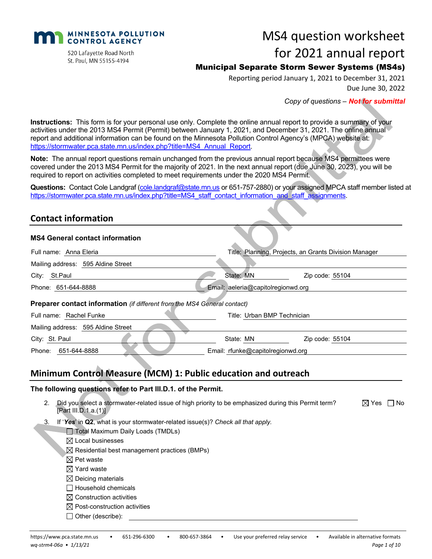

MS4 question worksheet

#### 520 Lafayette Road North St. Paul, MN 55155-4194

# for 2021 annual report

# Municipal Separate Storm Sewer Systems (MS4s)

Reporting period January 1, 2021 to December 31, 2021 Due June 30, 2022

*Copy of questions – Not for submittal*

**Instructions:** This form is for your personal use only. Complete the online annual report to provide a summary of your activities under the 2013 MS4 Permit (Permit) between January 1, 2021, and December 31, 2021. The online annual report and additional information can be found on the Minnesota Pollution Control Agency's (MPCA) website at: [https://stormwater.pca.state.mn.us/index.php?title=MS4\\_Annual\\_Report.](https://stormwater.pca.state.mn.us/index.php?title=MS4_Annual_Report)

**Note:** The annual report questions remain unchanged from the previous annual report because MS4 permittees were covered under the 2013 MS4 Permit for the majority of 2021. In the next annual report (due June 30, 2023), you will be required to report on activities completed to meet requirements under the 2020 MS4 Permit.

**Questions:** Contact Cole Landgraf [\(cole.landgraf@state.mn.us](mailto:cole.landgraf@state.mn.us) or 651-757-2880) or your assigned MPCA staff member listed at [https://stormwater.pca.state.mn.us/index.php?title=MS4\\_staff\\_contact\\_information\\_and\\_staff\\_assignments.](https://stormwater.pca.state.mn.us/index.php?title=MS4_staff_contact_information_and_staff_assignments)

### **Contact information**

#### **MS4 General contact information**

| Full name: Anna Eleria                                                                                                               |                                    | Title: Planning, Projects, an Grants Division Manager |                     |
|--------------------------------------------------------------------------------------------------------------------------------------|------------------------------------|-------------------------------------------------------|---------------------|
| Mailing address: 595 Aldine Street                                                                                                   |                                    |                                                       |                     |
| City: St.Paul                                                                                                                        | State: MN                          | Zip code: 55104                                       |                     |
| Phone: 651-644-8888                                                                                                                  | Email: aeleria@capitolregionwd.org |                                                       |                     |
| <b>Preparer contact information</b> (if different from the MS4 General contact)                                                      |                                    |                                                       |                     |
| Full name: Rachel Funke                                                                                                              | Title: Urban BMP Technician        |                                                       |                     |
| Mailing address: 595 Aldine Street                                                                                                   |                                    |                                                       |                     |
| City: St. Paul                                                                                                                       | State: MN                          | Zip code: 55104                                       |                     |
| Phone: 651-644-8888                                                                                                                  | Email: rfunke@capitolregionwd.org  |                                                       |                     |
| Minimum Control Measure (MCM) 1: Public education and outreach                                                                       |                                    |                                                       |                     |
| The following questions refer to Part III.D.1. of the Permit.                                                                        |                                    |                                                       |                     |
| Did you select a stormwater-related issue of high priority to be emphasized during this Permit term?<br>2.<br>[Part III.D.1.a.(1)] . |                                    | ⊠ Yes                                                 | No.<br>$\mathbf{I}$ |

- 3. If '*Yes*' in **Q2**, what is your stormwater-related issue(s)? *Check all that apply.*
	- Total Maximum Daily Loads (TMDLs)
	- $\boxtimes$  Local businesses
	- $\boxtimes$  Residential best management practices (BMPs)
	- $\boxtimes$  Pet waste
	- $\boxtimes$  Yard waste
	- $\boxtimes$  Deicing materials
	- $\Box$  Household chemicals
	- $\boxtimes$  Construction activities
	- $\boxtimes$  Post-construction activities
	- $\Box$  Other (describe):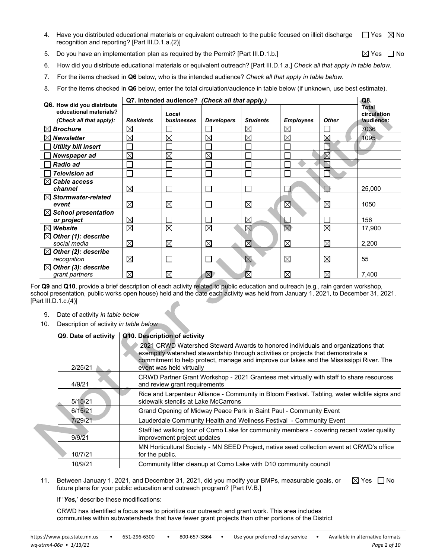- 4. Have you distributed educational materials or equivalent outreach to the public focused on illicit discharge recognition and reporting? [Part III.D.1.a.(2)]  $\Box$  Yes  $\boxtimes$  No
- 5. Do you have an implementation plan as required by the Permit? [Part III.D.1.b.]  $\boxtimes$  Yes  $\Box$  No
	-
- 6. How did you distribute educational materials or equivalent outreach? [Part III.D.1.a.] *Check all that apply in table below.*
- 7. For the items checked in **Q6** below, who is the intended audience? *Check all that apply in table below.*
- 8. For the items checked in **Q6** below, enter the total circulation/audience in table below (if unknown, use best estimate).

|                                                      |                  |             | Q7. Intended audience? (Check all that apply.) |                 |                  |              | Q8.                       |
|------------------------------------------------------|------------------|-------------|------------------------------------------------|-----------------|------------------|--------------|---------------------------|
| Q6. How did you distribute<br>educational materials? |                  |             |                                                |                 |                  |              | Total                     |
|                                                      |                  | Local       |                                                |                 |                  |              | circulation<br>/audience: |
| (Check all that apply):                              | <b>Residents</b> | businesses  | <b>Developers</b>                              | <b>Students</b> | <b>Employees</b> | <b>Other</b> |                           |
| $\boxtimes$ Brochure                                 | $\boxtimes$      |             |                                                | $\boxtimes$     | ⊠                |              | 7036                      |
| <b>Newsletter</b>                                    | $\boxtimes$      | $\times$    | $\boxtimes$                                    | $\boxtimes$     | ⊠                | $\boxtimes$  | 1095                      |
| <b>Utility bill insert</b>                           |                  |             |                                                |                 |                  |              |                           |
| Newspaper ad                                         | $\boxtimes$      | $\boxtimes$ | $\boxtimes$                                    |                 |                  | $\boxtimes$  |                           |
| <b>Radio ad</b>                                      |                  |             |                                                |                 |                  |              |                           |
| <b>Television ad</b>                                 |                  |             |                                                |                 |                  |              |                           |
| $\boxtimes$ Cable access                             |                  |             |                                                |                 |                  |              |                           |
| channel                                              | $\boxtimes$      |             |                                                |                 |                  |              | 25,000                    |
| $\boxtimes$ Stormwater-related                       |                  |             |                                                |                 |                  |              |                           |
| event                                                | $\boxtimes$      | ⊠           |                                                | $\boxtimes$     | ⊠                | ⊠            | 1050                      |
| $\boxtimes$ School presentation                      |                  |             |                                                |                 |                  |              |                           |
| or project                                           | $\boxtimes$      |             |                                                | $\boxtimes$     |                  |              | 156                       |
| $\boxtimes$ Website                                  | $\boxtimes$      | $\boxtimes$ | $\boxtimes$                                    | ⊠               | $\boxtimes$      | ⊠            | 17,900                    |
| $\boxtimes$ Other (1): describe                      |                  |             |                                                |                 |                  |              |                           |
| social media                                         | $\boxtimes$      | $\boxtimes$ | $\boxtimes$                                    | ⊠               | ⊠                | ⊠            | 2,200                     |
| $\boxtimes$ Other (2): describe                      |                  |             |                                                |                 |                  |              |                           |
| recognition                                          | $\boxtimes$      |             |                                                | $\boxtimes$     | ⊠                | ⊠            | 55                        |
| $\boxtimes$ Other (3): describe                      |                  |             |                                                |                 |                  |              |                           |
| grant partners                                       | $\boxtimes$      | $\boxtimes$ | $\boxtimes$                                    | $\boxtimes$     | $\boxtimes$      | $\boxtimes$  | 7,400                     |

For **Q9** and **Q10**, provide a brief description of each activity related to public education and outreach (e.g., rain garden workshop, school presentation, public works open house) held and the date each activity was held from January 1, 2021, to December 31, 2021. [Part III.D.1.c.(4)]

- 9. Date of activity *in table below*
- 10. Description of activity *in table below*

| Q9. Date of activity | Q10. Description of activity                                                                                                                                                                                                                                                                 |
|----------------------|----------------------------------------------------------------------------------------------------------------------------------------------------------------------------------------------------------------------------------------------------------------------------------------------|
| 2/25/21              | 2021 CRWD Watershed Steward Awards to honored individuals and organizations that<br>exemplify watershed stewardship through activities or projects that demonstrate a<br>commitment to help protect, manage and improve our lakes and the Mississippi River. The<br>event was held virtually |
| 4/9/21               | CRWD Partner Grant Workshop - 2021 Grantees met virtually with staff to share resources<br>and review grant requirements                                                                                                                                                                     |
| 5/15/21              | Rice and Larpenteur Alliance - Community in Bloom Festival. Tabling, water wildlife signs and<br>sidewalk stencils at Lake McCarrons                                                                                                                                                         |
| 6/15/21              | Grand Opening of Midway Peace Park in Saint Paul - Community Event                                                                                                                                                                                                                           |
| 7/29/21              | Lauderdale Community Health and Wellness Festival - Community Event                                                                                                                                                                                                                          |
| 9/9/21               | Staff led walking tour of Como Lake for community members - covering recent water quality<br>improvement project updates                                                                                                                                                                     |
| 10/7/21              | MN Horticultural Society - MN SEED Project, native seed collection event at CRWD's office<br>for the public.                                                                                                                                                                                 |
| 10/9/21              | Community litter cleanup at Como Lake with D10 community council                                                                                                                                                                                                                             |

11. Between January 1, 2021, and December 31, 2021, did you modify your BMPs, measurable goals, or future plans for your public education and outreach program? [Part IV.B.]  $\boxtimes$  Yes  $\Box$  No

If '*Yes,*' describe these modifications:

CRWD has identified a focus area to prioritize our outreach and grant work. This area includes communites within subwatersheds that have fewer grant projects than other portions of the District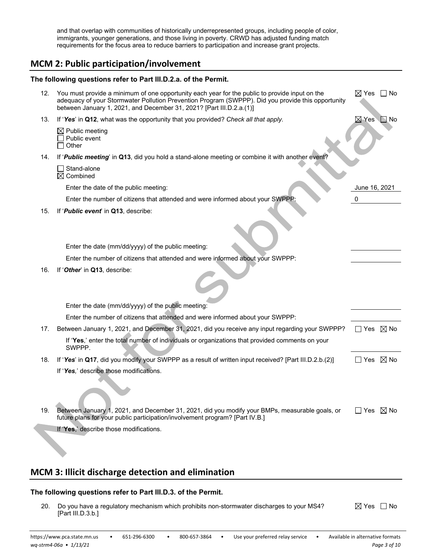and that overlap with communities of historically underrepresented groups, including people of color, immigrants, younger generations, and those living in poverty. CRWD has adjusted funding match requirements for the focus area to reduce barriers to participation and increase grant projects.

### **MCM 2: Public participation/involvement**

|     | The following questions refer to Part III.D.2.a. of the Permit.                                                                                                                                                                                                              |                              |
|-----|------------------------------------------------------------------------------------------------------------------------------------------------------------------------------------------------------------------------------------------------------------------------------|------------------------------|
| 12. | You must provide a minimum of one opportunity each year for the public to provide input on the<br>adequacy of your Stormwater Pollution Prevention Program (SWPPP). Did you provide this opportunity<br>between January 1, 2021, and December 31, 2021? [Part III.D.2.a.(1)] | ⊠ Yes ⊔No                    |
| 13. | If 'Yes' in Q12, what was the opportunity that you provided? Check all that apply.                                                                                                                                                                                           | $\boxtimes$ Yes<br>$\Box$ No |
|     | $\boxtimes$ Public meeting<br>Public event<br>Other                                                                                                                                                                                                                          |                              |
| 14. | If 'Public meeting' in Q13, did you hold a stand-alone meeting or combine it with another event?                                                                                                                                                                             |                              |
|     | Stand-alone<br>$\boxtimes$ Combined                                                                                                                                                                                                                                          |                              |
|     | Enter the date of the public meeting:                                                                                                                                                                                                                                        | June 16, 2021                |
|     | Enter the number of citizens that attended and were informed about your SWPPP:                                                                                                                                                                                               | 0                            |
| 15. | If ' <i>Public</i> event' in Q13, describe:                                                                                                                                                                                                                                  |                              |
|     | Enter the date (mm/dd/yyyy) of the public meeting:                                                                                                                                                                                                                           |                              |
|     | Enter the number of citizens that attended and were informed about your SWPPP:                                                                                                                                                                                               |                              |
| 16. | If 'Other' in Q13, describe:                                                                                                                                                                                                                                                 |                              |
|     | Enter the date (mm/dd/yyyy) of the public meeting:                                                                                                                                                                                                                           |                              |
|     | Enter the number of citizens that attended and were informed about your SWPPP:                                                                                                                                                                                               |                              |
| 17. | Between January 1, 2021, and December 31, 2021, did you receive any input regarding your SWPPP?                                                                                                                                                                              | ∐ Yes ⊠ No                   |
|     | If 'Yes,' enter the total number of individuals or organizations that provided comments on your<br>SWPPP.                                                                                                                                                                    |                              |
| 18. | If 'Yes' in Q17, did you modify your SWPPP as a result of written input received? [Part III.D.2.b.(2)]                                                                                                                                                                       | $\Box$ Yes $\boxtimes$ No    |
|     | If 'Yes,' describe those modifications.                                                                                                                                                                                                                                      |                              |
| 19. | Between January 1, 2021, and December 31, 2021, did you modify your BMPs, measurable goals, or<br>future plans for your public participation/involvement program? [Part IV.B.]                                                                                               | $\Box$ Yes $\boxtimes$ No    |
|     | If 'Yes,' describe those modifications.                                                                                                                                                                                                                                      |                              |
|     |                                                                                                                                                                                                                                                                              |                              |

### **MCM 3: Illicit discharge detection and elimination**

#### **The following questions refer to Part III.D.3. of the Permit.**

20. Do you have a regulatory mechanism which prohibits non-stormwater discharges to your MS4? [Part III.D.3.b.]  $\boxtimes$  Yes  $\Box$  No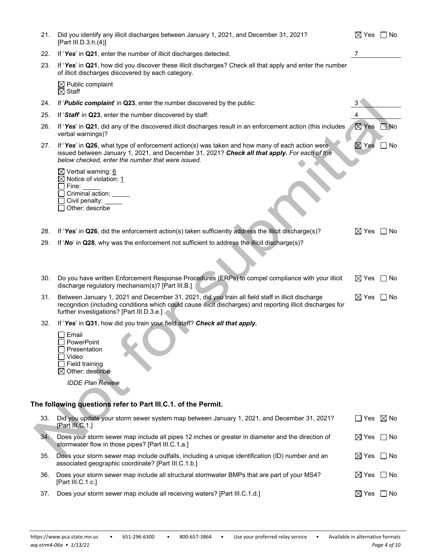| 21. | Did you identify any illicit discharges between January 1, 2021, and December 31, 2021?<br>[Part III.D.3.h.(4)]                                                                                                                                                | $\boxtimes$ Yes $\Box$ No |                   |
|-----|----------------------------------------------------------------------------------------------------------------------------------------------------------------------------------------------------------------------------------------------------------------|---------------------------|-------------------|
| 22. | If 'Yes' in Q21, enter the number of illicit discharges detected.                                                                                                                                                                                              |                           |                   |
| 23. | If 'Yes' in Q21, how did you discover these illicit discharges? Check all that apply and enter the number<br>of illicit discharges discovered by each category.                                                                                                |                           |                   |
|     | $\boxtimes$ Public complaint<br>$\boxtimes$ Staff                                                                                                                                                                                                              |                           |                   |
| 24. | If 'Public complaint' in Q23, enter the number discovered by the public:                                                                                                                                                                                       |                           |                   |
| 25. | If 'Staff' in Q23, enter the number discovered by staff:                                                                                                                                                                                                       | 4                         |                   |
| 26. | If 'Yes' in Q21, did any of the discovered illicit discharges result in an enforcement action (this includes<br>verbal warnings)?                                                                                                                              | $\boxtimes$ Yes           | $\blacksquare$ No |
| 27. | If 'Yes' in Q26, what type of enforcement action(s) was taken and how many of each action were<br>issued between January 1, 2021, and December 31, 2021? Check all that apply. For each of the<br>below checked, enter the number that were issued.            | $\boxtimes$ Yes           | No                |
|     | $\boxtimes$ Verbal warning: 6<br>$\boxtimes$ Notice of violation: 1<br>Fine:<br>Criminal action: _____<br>Civil penalty:<br>Other: describe                                                                                                                    |                           |                   |
| 28. | If 'Yes' in Q26, did the enforcement action(s) taken sufficiently address the illicit discharge(s)?                                                                                                                                                            | $\boxtimes$ Yes           | ∣No               |
| 29. | If 'No' in Q28, why was the enforcement not sufficient to address the illicit discharge(s)?                                                                                                                                                                    |                           |                   |
|     |                                                                                                                                                                                                                                                                |                           |                   |
| 30. | Do you have written Enforcement Response Procedures (ERPs) to compel compliance with your illicit<br>discharge regulatory mechanism(s)? [Part III.B.]                                                                                                          | $\boxtimes$ Yes           | $\Box$ No         |
| 31. | Between January 1, 2021 and December 31, 2021, did you train all field staff in illicit discharge<br>recognition (including conditions which could cause illicit discharges) and reporting illicit discharges for<br>further investigations? [Part III.D.3.e.] | $\boxtimes$ Yes           | l INo             |
| 32. | If 'Yes' in Q31, how did you train your field staff? Check all that apply.                                                                                                                                                                                     |                           |                   |
|     | Email<br>PowerPoint<br>Presentation<br>Video<br>Field training<br>$\boxtimes$ Other: describe                                                                                                                                                                  |                           |                   |
|     | <b>IDDE Plan Review</b>                                                                                                                                                                                                                                        |                           |                   |
|     |                                                                                                                                                                                                                                                                |                           |                   |
|     | The following questions refer to Part III.C.1. of the Permit.                                                                                                                                                                                                  |                           |                   |
| 33. | Did you update your storm sewer system map between January 1, 2021, and December 31, 2021?<br>[Part III.C.1.]                                                                                                                                                  | $\Box$ Yes $\boxtimes$ No |                   |
| 34. | Does your storm sewer map include all pipes 12 inches or greater in diameter and the direction of<br>stormwater flow in those pipes? [Part III.C.1.a.]                                                                                                         | $\boxtimes$ Yes           | ∣ ∣No             |
| 35. | Does your storm sewer map include outfalls, including a unique identification (ID) number and an<br>associated geographic coordinate? [Part III.C.1.b.]                                                                                                        | $\boxtimes$ Yes           | l INo             |
| 36. | Does your storm sewer map include all structural stormwater BMPs that are part of your MS4?<br>[Part III.C.1.c.]                                                                                                                                               | $\boxtimes$ Yes           | ∣ ∣No             |
| 37. | Does your storm sewer map include all receiving waters? [Part III.C.1.d.]                                                                                                                                                                                      | ⊠ Yes   No                |                   |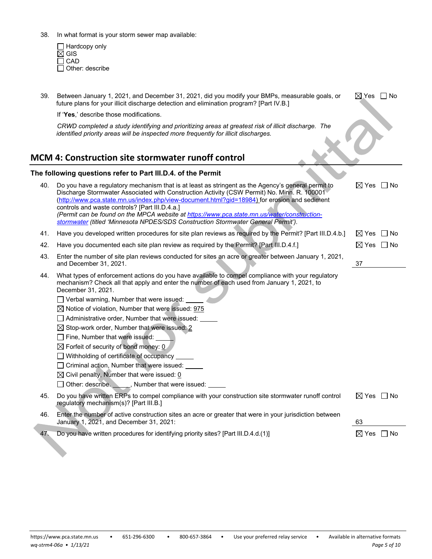38. In what format is your storm sewer map available:

Hardcopy only GIS CAD Other: describe

| 39. | Between January 1, 2021, and December 31, 2021, did you modify your BMPs, measurable goals, or<br>future plans for your illicit discharge detection and elimination program? [Part IV.B.]                                                                                                                                                                                                                                                                                                                                                                                                                                                                                                                                                                          | $\boxtimes$ Yes $\;\;\Box$ No |
|-----|--------------------------------------------------------------------------------------------------------------------------------------------------------------------------------------------------------------------------------------------------------------------------------------------------------------------------------------------------------------------------------------------------------------------------------------------------------------------------------------------------------------------------------------------------------------------------------------------------------------------------------------------------------------------------------------------------------------------------------------------------------------------|-------------------------------|
|     | If 'Yes,' describe those modifications.                                                                                                                                                                                                                                                                                                                                                                                                                                                                                                                                                                                                                                                                                                                            |                               |
|     | CRWD completed a study identifying and prioritizing areas at greatest risk of illicit discharge. The<br>identified priority areas will be inspected more frequently for illicit discharges.                                                                                                                                                                                                                                                                                                                                                                                                                                                                                                                                                                        |                               |
|     | <b>MCM 4: Construction site stormwater runoff control</b>                                                                                                                                                                                                                                                                                                                                                                                                                                                                                                                                                                                                                                                                                                          |                               |
|     | The following questions refer to Part III.D.4. of the Permit                                                                                                                                                                                                                                                                                                                                                                                                                                                                                                                                                                                                                                                                                                       |                               |
| 40. | Do you have a regulatory mechanism that is at least as stringent as the Agency's general permit to<br>Discharge Stormwater Associated with Construction Activity (CSW Permit) No. Minn. R. 100001<br>(http://www.pca.state.mn.us/index.php/view-document.html?gid=18984) for erosion and sediment<br>controls and waste controls? [Part III.D.4.a.]<br>(Permit can be found on the MPCA website at https://www.pca.state.mn.us/water/construction-<br>stormwater (titled 'Minnesota NPDES/SDS Construction Stormwater General Permit').                                                                                                                                                                                                                            | $\boxtimes$ Yes<br>– I No     |
| 41. | Have you developed written procedures for site plan reviews as required by the Permit? [Part III.D.4.b.]                                                                                                                                                                                                                                                                                                                                                                                                                                                                                                                                                                                                                                                           | $\boxtimes$ Yes<br>l No       |
| 42. | Have you documented each site plan review as required by the Permit? [Part III.D.4.f.]                                                                                                                                                                                                                                                                                                                                                                                                                                                                                                                                                                                                                                                                             | $\boxtimes$ Yes $\Box$ No     |
| 43. | Enter the number of site plan reviews conducted for sites an acre or greater between January 1, 2021,<br>and December 31, 2021.                                                                                                                                                                                                                                                                                                                                                                                                                                                                                                                                                                                                                                    | 37                            |
| 44. | What types of enforcement actions do you have available to compel compliance with your regulatory<br>mechanism? Check all that apply and enter the number of each used from January 1, 2021, to<br>December 31, 2021.<br>□ Verbal warning, Number that were issued:<br>$\boxtimes$ Notice of violation, Number that were issued: 975<br>Administrative order, Number that were issued:<br>$\boxtimes$ Stop-work order, Number that were issued: 2<br>Fine, Number that were issued:<br>$\boxtimes$ Forfeit of security of bond money: 0<br>$\Box$ Withholding of certificate of occupancy $\Box$<br>□ Criminal action, Number that were issued:<br>$\boxtimes$ Civil penalty, Number that were issued: 0<br>□ Other: describe. <u>● ● Number</u> that were issued: |                               |
| 45. | Do you have written ERPs to compel compliance with your construction site stormwater runoff control<br>regulatory mechanism(s)? [Part III.B.]                                                                                                                                                                                                                                                                                                                                                                                                                                                                                                                                                                                                                      | $\boxtimes$ Yes $\Box$ No     |
| 46. | Enter the number of active construction sites an acre or greater that were in your jurisdiction between<br>January 1, 2021, and December 31, 2021:                                                                                                                                                                                                                                                                                                                                                                                                                                                                                                                                                                                                                 | 63                            |
| 47. | Do you have written procedures for identifying priority sites? [Part III.D.4.d.(1)]                                                                                                                                                                                                                                                                                                                                                                                                                                                                                                                                                                                                                                                                                | $\boxtimes$ Yes $\Box$ No     |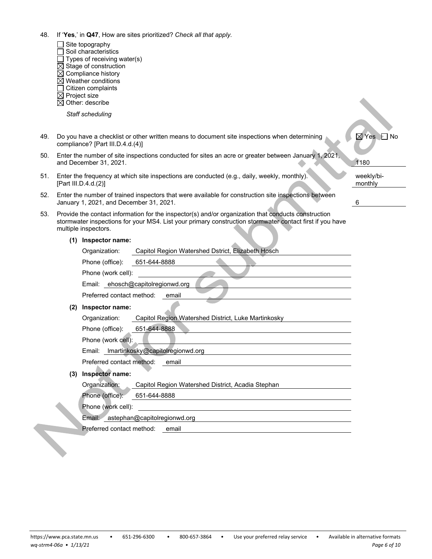- 48. If '**Yes**,' in **Q47**, How are sites prioritized? *Check all that apply.*
	- $\Box$  Site topography
	- $\Box$  Soil characteristics
	- $\Box$  Types of receiving water(s)
	- $\overline{\boxtimes}$  Stage of construction
	- $\boxtimes$  Compliance history
	- $\boxtimes$  Weather conditions
	- $\Box$  Citizen complaints
	- $\boxtimes$  Project size  $\boxtimes$  Other: describe
	- *Staff scheduling*
- 49. Do you have a checklist or other written means to document site inspections when determining compliance? [Part III.D.4.d.(4)]
- 50. Enter the number of site inspections conducted for sites an acre or greater between January 1, 2021 and December 31, 2021.
- 51. Enter the frequency at which site inspections are conducted (e.g., daily, weekly, monthly). [Part III.D.4.d.(2)]
- 52. Enter the number of trained inspectors that were available for construction site inspections between January 1, 2021, and December 31, 2021. 6
- 53. Provide the contact information for the inspector(s) and/or organization that conducts construction stormwater inspections for your MS4. List your primary construction stormwater contact first if you have multiple inspectors.

|  | (1) Inspector name: |
|--|---------------------|
|--|---------------------|

|     | Organization:             | Capitol Region Watershed Dstrict, Elizabeth Hosch   |
|-----|---------------------------|-----------------------------------------------------|
|     | Phone (office):           | 651-644-8888                                        |
|     | Phone (work cell):        |                                                     |
|     |                           | Email: ehosch@capitolregionwd.org                   |
|     | Preferred contact method: | email                                               |
| (2) | Inspector name:           |                                                     |
|     | Organization:             | Capitol Region Watershed District, Luke Martinkosky |
|     | Phone (office):           | 651-644-8888                                        |
|     | Phone (work cell):        |                                                     |
|     |                           | Email: Imartinkosky@capitolregionwd.org             |
|     | Preferred contact method: | email                                               |
| (3) | Inspector name:           |                                                     |
|     | Organization:             | Capitol Region Watershed District, Acadia Stephan   |
|     | Phone (office):           | 651-644-8888                                        |
|     | Phone (work cell):        |                                                     |
|     | Email:⊵                   | astephan@capitolregionwd.org                        |
|     | Preferred contact method: | email                                               |
|     |                           |                                                     |

| $\boxtimes$ Yes $\Box$ No |
|---------------------------|
| 1180                      |
| weekly/bi-<br>monthly     |
| 6                         |

A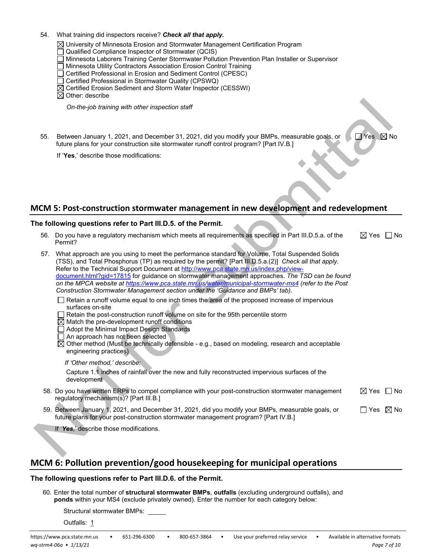- 54. What training did inspectors receive? *Check all that apply***.**
	- $\boxtimes$  University of Minnesota Erosion and Stormwater Management Certification Program
	- Qualified Compliance Inspector of Stormwater (QCIS)
	- Minnesota Laborers Training Center Stormwater Pollution Prevention Plan Installer or Supervisor
	- □ Minnesota Utility Contractors Association Erosion Control Training
	- □ Certified Professional in Erosion and Sediment Control (CPESC)
	- □ Certified Professional in Stormwater Quality (CPSWQ)
	- Certified Erosion Sediment and Storm Water Inspector (CESSWI)
	- $\boxtimes$  Other: describe

*On-the-job training with other inspection staff*

55. Between January 1, 2021, and December 31, 2021, did you modify your BMPs, measurable goals, or future plans for your construction site stormwater runoff control program? [Part IV.B.]

If '**Yes**,' describe those modifications:

### **MCM 5: Post-construction stormwater management in new development and redevelopment**

#### **The following questions refer to Part III.D.5. of the Permit.**

56. Do you have a regulatory mechanism which meets all requirements as specified in Part III.D.5.a. of the Permit?  $\boxtimes$  Yes  $\Box$  No

 $\Box$  Yes  $\boxtimes$  No

| 57. | What approach are you using to meet the performance standard for Volume, Total Suspended Solids<br>(TSS), and Total Phosphorus (TP) as required by the permit? [Part III.D.5.a.(2)] Check all that apply.<br>Refer to the Technical Support Document at http://www.pca.state.mn.us/index.php/view-<br>document.html?gid=17815 for guidance on stormwater management approaches. The TSD can be found<br>on the MPCA website at https://www.pca.state.mn.us/water/municipal-stormwater-ms4 (refer to the Post<br>Construction Stormwater Management section under the 'Guidance and BMPs' tab). |                           |                |
|-----|------------------------------------------------------------------------------------------------------------------------------------------------------------------------------------------------------------------------------------------------------------------------------------------------------------------------------------------------------------------------------------------------------------------------------------------------------------------------------------------------------------------------------------------------------------------------------------------------|---------------------------|----------------|
|     | □ Retain a runoff volume equal to one inch times the area of the proposed increase of impervious<br>surfaces on-site<br>Retain the post-construction runoff volume on site for the 95th percentile storm<br>$\boxtimes$ Match the pre-development runoff conditions<br>Adopt the Minimal Impact Design Standards<br>$\Box$ An approach has not been selected<br>$\boxtimes$ Other method (Must be technically defensible - e.g., based on modeling, research and acceptable<br>engineering practices)                                                                                          |                           |                |
|     | If 'Other method,' describe:<br>Capture 1.1 inches of rainfall over the new and fully reconstructed impervious surfaces of the<br>development.                                                                                                                                                                                                                                                                                                                                                                                                                                                 |                           |                |
|     | 58. Do you have written ERPs to compel compliance with your post-construction stormwater management<br>regulatory mechanism(s)? [Part III.B.]                                                                                                                                                                                                                                                                                                                                                                                                                                                  | $\boxtimes$ Yes $\Box$ No |                |
|     | 59. Between January 1, 2021, and December 31, 2021, did you modify your BMPs, measurable goals, or<br>future plans for your post-construction stormwater management program? [Part IV.B.]                                                                                                                                                                                                                                                                                                                                                                                                      | Yes                       | $\boxtimes$ No |
|     | If 'Yes,' describe those modifications.                                                                                                                                                                                                                                                                                                                                                                                                                                                                                                                                                        |                           |                |

# **MCM 6: Pollution prevention/good housekeeping for municipal operations**

#### **The following questions refer to Part III.D.6. of the Permit.**

60. Enter the total number of **structural stormwater BMPs**, **outfalls** (excluding underground outfalls), and **ponds** within your MS4 (exclude privately owned). Enter the number for each category below:

Structural stormwater BMPs:

Outfalls: 1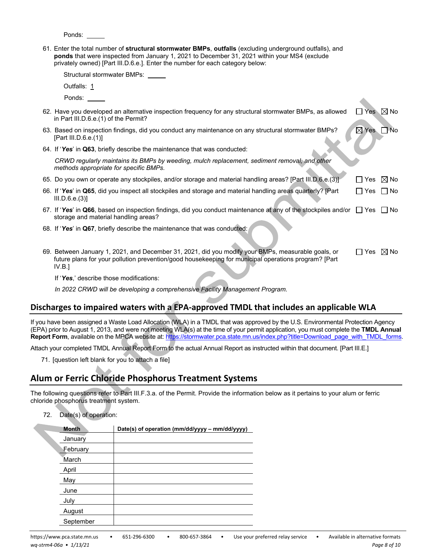Ponds:

61*.* Enter the total number of **structural stormwater BMPs**, **outfalls** (excluding underground outfalls), and **ponds** that were inspected from January 1, 2021 to December 31, 2021 within your MS4 (exclude privately owned) [Part III.D.6.e.]. Enter the number for each category below:

Structural stormwater BMPs:

| Outfalls: 1                                                                                                                                                                                                         |                           |       |
|---------------------------------------------------------------------------------------------------------------------------------------------------------------------------------------------------------------------|---------------------------|-------|
| Ponds:                                                                                                                                                                                                              |                           |       |
| 62. Have you developed an alternative inspection frequency for any structural stormwater BMPs, as allowed<br>in Part III.D.6.e. (1) of the Permit?                                                                  | l lYes l                  | .⊠ No |
| 63. Based on inspection findings, did you conduct any maintenance on any structural stormwater BMPs?<br>[Part III.D.6.e.(1)]                                                                                        | $\boxtimes$ Yes           | -No   |
| 64. If 'Yes' in Q63, briefly describe the maintenance that was conducted:                                                                                                                                           |                           |       |
| CRWD regularly maintains its BMPs by weeding, mulch replacement, sediment removal, and other<br>methods appropriate for specific BMPs.                                                                              |                           |       |
| 65. Do you own or operate any stockpiles, and/or storage and material handling areas? [Part III.D.6.e.(3)]                                                                                                          | $\Box$ Yes $\boxtimes$ No |       |
| 66. If 'Yes' in Q65, did you inspect all stockpiles and storage and material handling areas quarterly? [Part<br>III.D.6.e.(3)]                                                                                      | l IYes                    | ∣ No  |
| 67. If 'Yes' in Q66, based on inspection findings, did you conduct maintenance at any of the stockpiles and/or $\Box$ Yes<br>storage and material handling areas?                                                   |                           | l INo |
| 68. If 'Yes' in Q67, briefly describe the maintenance that was conducted:                                                                                                                                           |                           |       |
| 69. Between January 1, 2021, and December 31, 2021, did you modify your BMPs, measurable goals, or<br>future plans for your pollution prevention/good housekeeping for municipal operations program? [Part<br>IV.B. | $\Box$ Yes $\boxtimes$ No |       |
| $\mathbf{r} \cdot \mathbf{r}$ , $\mathbf{r}$ , $\mathbf{r}$ , $\mathbf{r}$ , $\mathbf{r}$ , $\mathbf{r}$ , $\mathbf{r}$                                                                                             |                           |       |

If '*Yes*,' describe those modifications:

*In 2022 CRWD will be developing a comprehensive Facility Management Program.* 

### **Discharges to impaired waters with a EPA-approved TMDL that includes an applicable WLA**

If you have been assigned a Waste Load Allocation (WLA) in a TMDL that was approved by the U.S. Environmental Protection Agency (EPA) prior to August 1, 2013, and were not meeting WLA(s) at the time of your permit application, you must complete the **TMDL Annual Report Form**, available on the MPCA website at: [https://stormwater.pca.state.mn.us/index.php?title=Download\\_page\\_with\\_TMDL\\_forms.](https://stormwater.pca.state.mn.us/index.php?title=Download_page_with_TMDL_forms)

Attach your completed TMDL Annual Report Form to the actual Annual Report as instructed within that document. [Part III.E.]

71. [question left blank for you to attach a file]

# **Alum or Ferric Chloride Phosphorus Treatment Systems**

The following questions refer to Part III.F.3.a. of the Permit. Provide the information below as it pertains to your alum or ferric chloride phosphorus treatment system.

#### 72. Date(s) of operation:

| <b>Month</b> | Date(s) of operation (mm/dd/yyyy - mm/dd/yyyy) |
|--------------|------------------------------------------------|
| January      |                                                |
| February     |                                                |
| March        |                                                |
| April        |                                                |
| May          |                                                |
| June         |                                                |
| July         |                                                |
| August       |                                                |
| September    |                                                |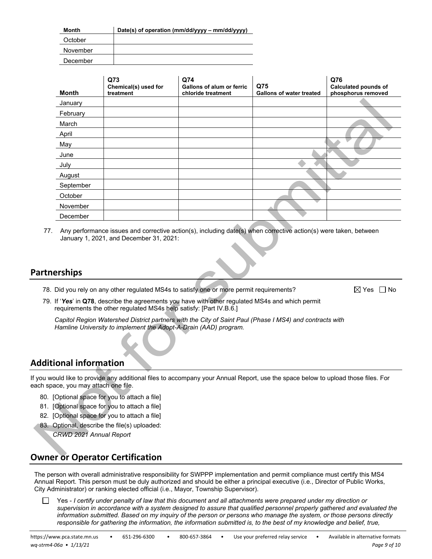| Month    | Date(s) of operation (mm/dd/yyyy – mm/dd/yyyy) |
|----------|------------------------------------------------|
| October  |                                                |
| November |                                                |
| December |                                                |

| Month     | Q73<br>Chemical(s) used for<br>treatment | Q74<br><b>Gallons of alum or ferric</b><br>chloride treatment | Q75<br><b>Gallons of water treated</b> | Q76<br><b>Calculated pounds of</b><br>phosphorus removed |
|-----------|------------------------------------------|---------------------------------------------------------------|----------------------------------------|----------------------------------------------------------|
| January   |                                          |                                                               |                                        |                                                          |
| February  |                                          |                                                               |                                        |                                                          |
| March     |                                          |                                                               |                                        |                                                          |
| April     |                                          |                                                               |                                        |                                                          |
| May       |                                          |                                                               |                                        |                                                          |
| June      |                                          |                                                               |                                        |                                                          |
| July      |                                          |                                                               |                                        |                                                          |
| August    |                                          |                                                               |                                        |                                                          |
| September |                                          |                                                               |                                        |                                                          |
| October   |                                          |                                                               |                                        |                                                          |
| November  |                                          |                                                               |                                        |                                                          |
| December  |                                          |                                                               |                                        |                                                          |

77. Any performance issues and corrective action(s), including date(s) when corrective action(s) were taken, between January 1, 2021, and December 31, 2021:

### **Partnerships**

78. Did you rely on any other regulated MS4s to satisfy one or more permit requirements?  $\boxtimes$  Yes  $\Box$  No

79. If '*Yes*' in **Q78**, describe the agreements you have with other regulated MS4s and which permit requirements the other regulated MS4s help satisfy: [Part IV.B.6.]

*Capitol Region Watershed District partners with the City of Saint Paul (Phase I MS4) and contracts with Hamline University to implement the Adopt-A-Drain (AAD) program.* 

### **Additional information**

If you would like to provide any additional files to accompany your Annual Report, use the space below to upload those files. For each space, you may attach one file.

- 80. [Optional space for you to attach a file]
- 81. [Optional space for you to attach a file]
- 82. [Optional space for you to attach a file]
- 83. Optional, describe the file(s) uploaded: *CRWD 2021 Annual Report*

# **Owner or Operator Certification**

The person with overall administrative responsibility for SWPPP implementation and permit compliance must certify this MS4 Annual Report. This person must be duly authorized and should be either a principal executive (i.e., Director of Public Works, City Administrator) or ranking elected official (i.e., Mayor, Township Supervisor).

Yes - *I certify under penalty of law that this document and all attachments were prepared under my direction or*  П. *supervision in accordance with a system designed to assure that qualified personnel properly gathered and evaluated the information submitted. Based on my inquiry of the person or persons who manage the system, or those persons directly*  responsible for gathering the information, the information submitted is, to the best of my knowledge and belief, true,